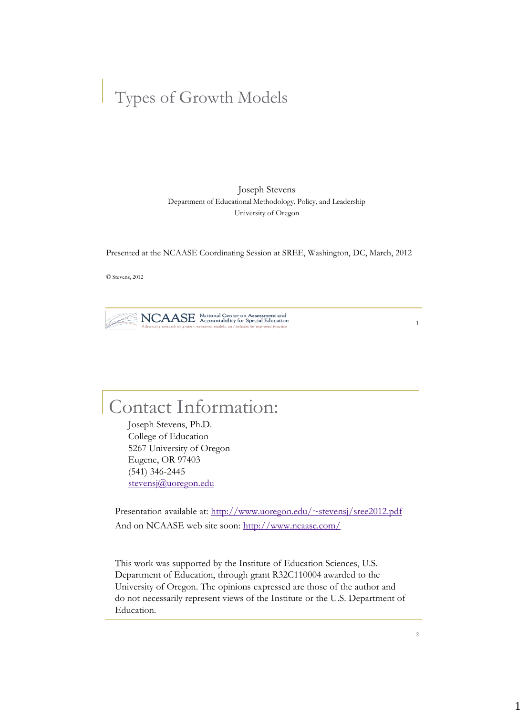#### Types of Growth Models

Joseph Stevens Department of Educational Methodology, Policy, and Leadership University of Oregon

Presented at the NCAASE Coordinating Session at SREE, Washington, DC, March, 2012

© Stevens, 2012

NCAASE National Center on Assessment and

1

### Contact Information:

Joseph Stevens, Ph.D. College of Education 5267 University of Oregon Eugene, OR 97403 (541) 346-2445 [stevensj@uoregon.edu](mailto:stevensj@uoregon.edu)

Presentation available at: <http://www.uoregon.edu/~stevensj/sree2012.pdf> And on NCAASE web site soon: <http://www.ncaase.com/>

This work was supported by the Institute of Education Sciences, U.S. Department of Education, through grant R32C110004 awarded to the University of Oregon. The opinions expressed are those of the author and do not necessarily represent views of the Institute or the U.S. Department of Education.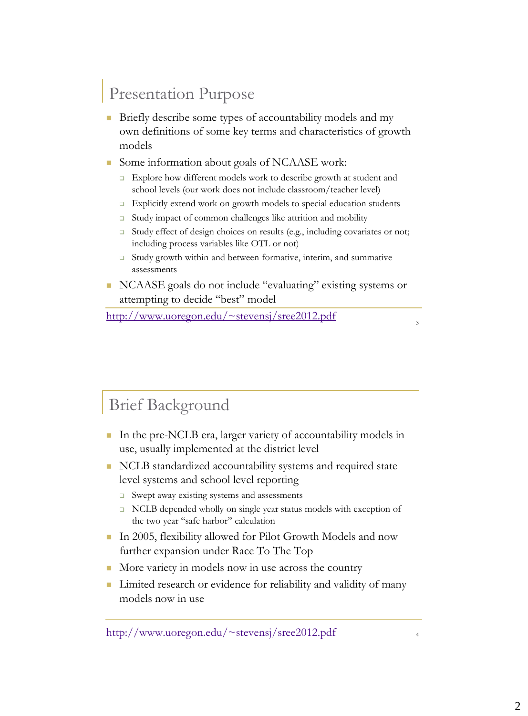### Presentation Purpose

- **Briefly describe some types of accountability models and my** own definitions of some key terms and characteristics of growth models
- Some information about goals of NCAASE work:
	- **Explore how different models work to describe growth at student and** school levels (our work does not include classroom/teacher level)
	- $\Box$  Explicitly extend work on growth models to special education students
	- □ Study impact of common challenges like attrition and mobility
	- □ Study effect of design choices on results (e.g., including covariates or not; including process variables like OTL or not)
	- □ Study growth within and between formative, interim, and summative assessments
- NCAASE goals do not include "evaluating" existing systems or attempting to decide "best" model

<http://www.uoregon.edu/~stevensj/sree2012.pdf>

3

#### Brief Background

- In the pre-NCLB era, larger variety of accountability models in use, usually implemented at the district level
- NCLB standardized accountability systems and required state level systems and school level reporting
	- $\Box$  Swept away existing systems and assessments
	- □ NCLB depended wholly on single year status models with exception of the two year "safe harbor" calculation
- In 2005, flexibility allowed for Pilot Growth Models and now further expansion under Race To The Top
- More variety in models now in use across the country
- Limited research or evidence for reliability and validity of many models now in use

<http://www.uoregon.edu/~stevensj/sree2012.pdf>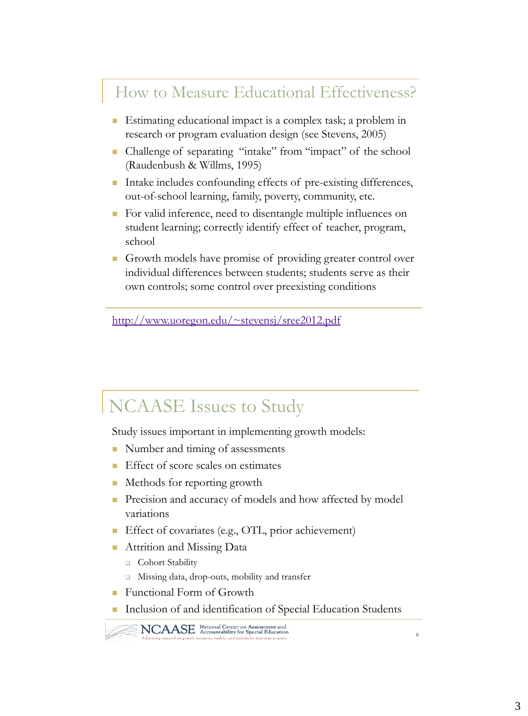#### How to Measure Educational Effectiveness?

- **Estimating educational impact is a complex task; a problem in** research or program evaluation design (see Stevens, 2005)
- Challenge of separating "intake" from "impact" of the school (Raudenbush & Willms, 1995)
- Intake includes confounding effects of pre-existing differences, out-of-school learning, family, poverty, community, etc.
- For valid inference, need to disentangle multiple influences on student learning; correctly identify effect of teacher, program, school
- Growth models have promise of providing greater control over individual differences between students; students serve as their own controls; some control over preexisting conditions

<http://www.uoregon.edu/~stevensj/sree2012.pdf>

### NCAASE Issues to Study

Study issues important in implementing growth models:

- Number and timing of assessments
- **Effect of score scales on estimates**
- Methods for reporting growth
- Precision and accuracy of models and how affected by model variations
- Effect of covariates (e.g., OTL, prior achievement)
- **Attrition and Missing Data** 
	- □ Cohort Stability
	- □ Missing data, drop-outs, mobility and transfer
- **Functional Form of Growth**
- Inclusion of and identification of Special Education Students

NCAASE National Center on Assessment and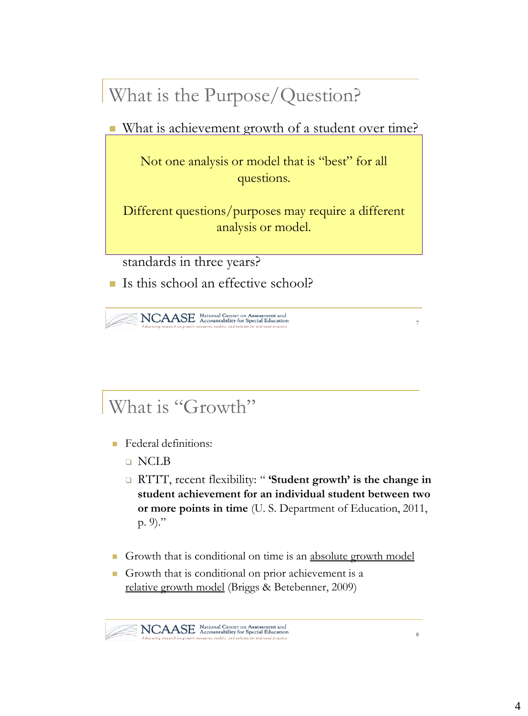# What is the Purpose/Question?

■ What is achievement growth of a student over time?

 On average, how much does student achievement Not one analysis or model that is "best" for all Compared to students with the same prior to students with the same prior to students with the same prior to students with the same prior to students with the same prior to students with the same prior to students with the questions.

Different questions/purposes may require a different higher or lower than would be expected?

7

8

standards in three years?

If Is this school an effective school?

NCAASE National Center on Assessment and

## What is "Growth"

- **Federal definitions:** 
	- NCLB
	- RTTT, recent flexibility: " **'Student growth' is the change in student achievement for an individual student between two or more points in time** (U. S. Department of Education, 2011, p. 9)."
- Growth that is conditional on time is an absolute growth model
- Growth that is conditional on prior achievement is a relative growth model (Briggs & Betebenner, 2009)

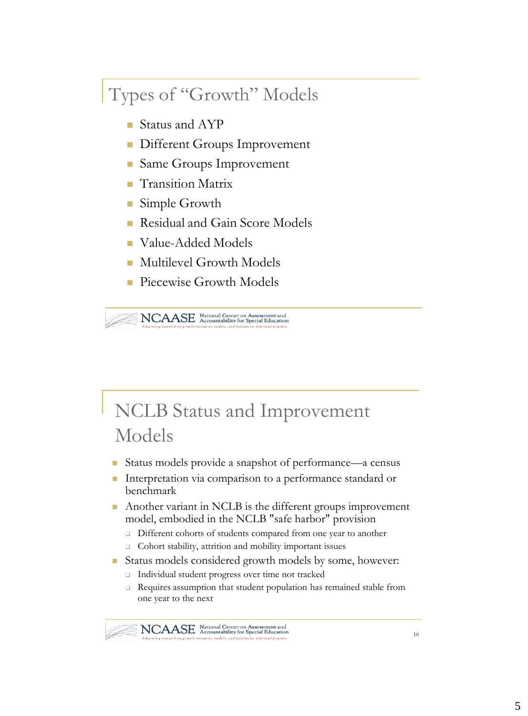## Types of "Growth" Models

- Status and AYP
- **Different Groups Improvement**
- Same Groups Improvement
- Transition Matrix
- Simple Growth
- Residual and Gain Score Models
- Value-Added Models
- Multilevel Growth Models
- **Piecewise Growth Models**

NCAASE National Center on Assessment and

## NCLB Status and Improvement Models

- Status models provide a snapshot of performance—a census
- Interpretation via comparison to a performance standard or benchmark
- Another variant in NCLB is the different groups improvement model, embodied in the NCLB "safe harbor" provision
	- Different cohorts of students compared from one year to another
	- □ Cohort stability, attrition and mobility important issues
- Status models considered growth models by some, however:
	- Individual student progress over time not tracked
	- Requires assumption that student population has remained stable from one year to the next

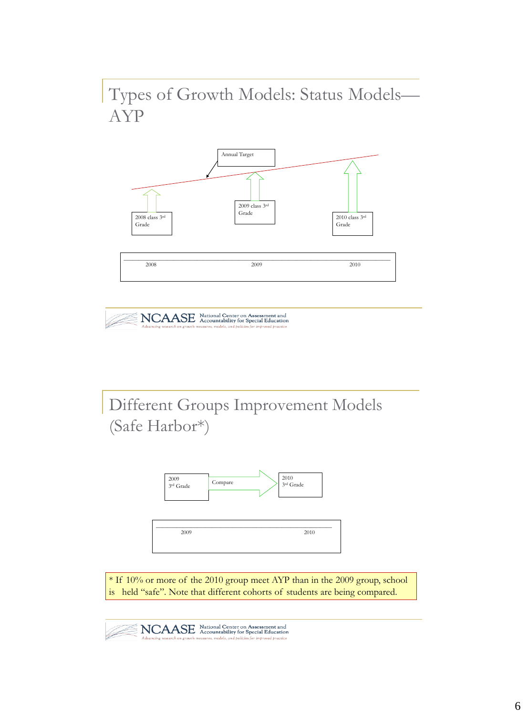Types of Growth Models: Status Models— AYP





Different Groups Improvement Models (Safe Harbor\*)



\* If 10% or more of the 2010 group meet AYP than in the 2009 group, school is held "safe". Note that different cohorts of students are being compared.

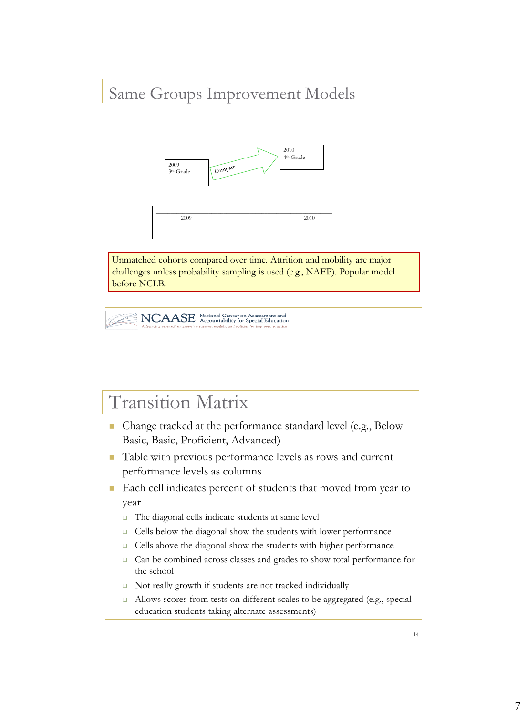#### Same Groups Improvement Models



Unmatched cohorts compared over time. Attrition and mobility are major challenges unless probability sampling is used (e.g., NAEP). Popular model before NCLB.

NCAASE National Center on Assessment and

## Transition Matrix

- Change tracked at the performance standard level (e.g., Below Basic, Basic, Proficient, Advanced)
- Table with previous performance levels as rows and current performance levels as columns
- Each cell indicates percent of students that moved from year to year
	- The diagonal cells indicate students at same level
	- Cells below the diagonal show the students with lower performance
	- Cells above the diagonal show the students with higher performance
	- □ Can be combined across classes and grades to show total performance for the school
	- □ Not really growth if students are not tracked individually
	- Allows scores from tests on different scales to be aggregated (e.g., special education students taking alternate assessments)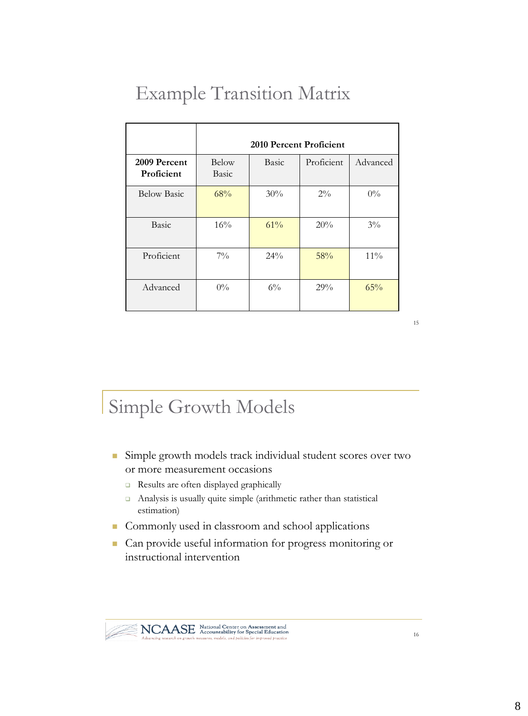## Example Transition Matrix

|                            | 2010 Percent Proficient |              |            |          |  |
|----------------------------|-------------------------|--------------|------------|----------|--|
| 2009 Percent<br>Proficient | Below<br>Basic          | <b>Basic</b> | Proficient | Advanced |  |
| <b>Below Basic</b>         | 68%                     | 30%          | $2\%$      | $0\%$    |  |
| Basic                      | 16%                     | 61%          | 20%        | $3\%$    |  |
| Proficient                 | $7\%$                   | 24%          | 58%        | $11\%$   |  |
| Advanced                   | $0\%$                   | $6\%$        | 29%        | 65%      |  |

15

### Simple Growth Models

- Simple growth models track individual student scores over two or more measurement occasions
	- Results are often displayed graphically
	- Analysis is usually quite simple (arithmetic rather than statistical estimation)
- Commonly used in classroom and school applications
- Can provide useful information for progress monitoring or instructional intervention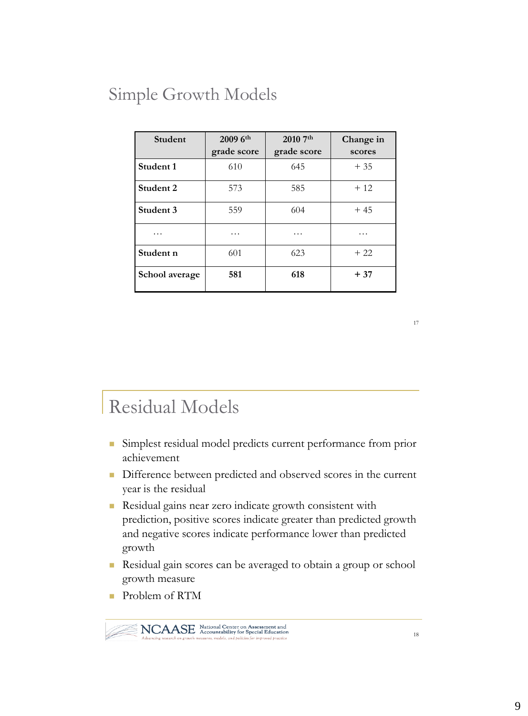### Simple Growth Models

| Student        | 2009 6th<br>grade score | 2010 7th<br>grade score | Change in<br>scores |
|----------------|-------------------------|-------------------------|---------------------|
| Student 1      | 610                     | 645                     | $+35$               |
| Student 2      | 573                     | 585                     | $+12$               |
| Student 3      | 559                     | 604                     | $+45$               |
| .              | .                       | .                       | .                   |
| Student n      | 601                     | 623                     | $+22$               |
| School average | 581                     | 618                     | $+37$               |

17

## Residual Models

- Simplest residual model predicts current performance from prior achievement
- Difference between predicted and observed scores in the current year is the residual
- Residual gains near zero indicate growth consistent with prediction, positive scores indicate greater than predicted growth and negative scores indicate performance lower than predicted growth
- Residual gain scores can be averaged to obtain a group or school growth measure
- Problem of RTM

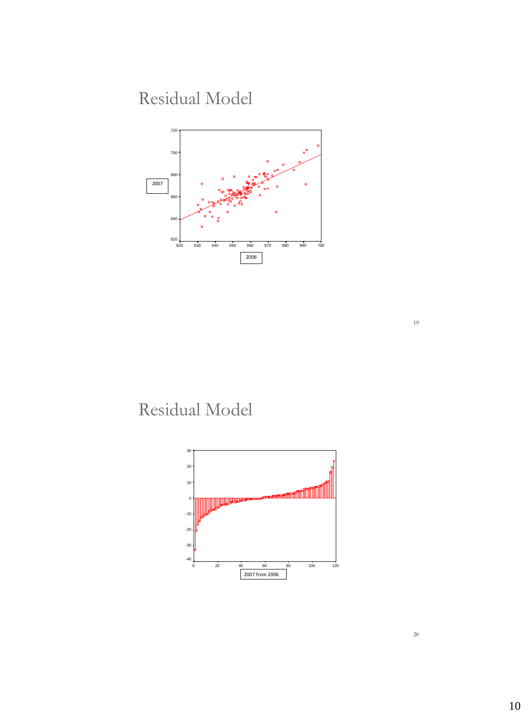### Residual Model



### Residual Model

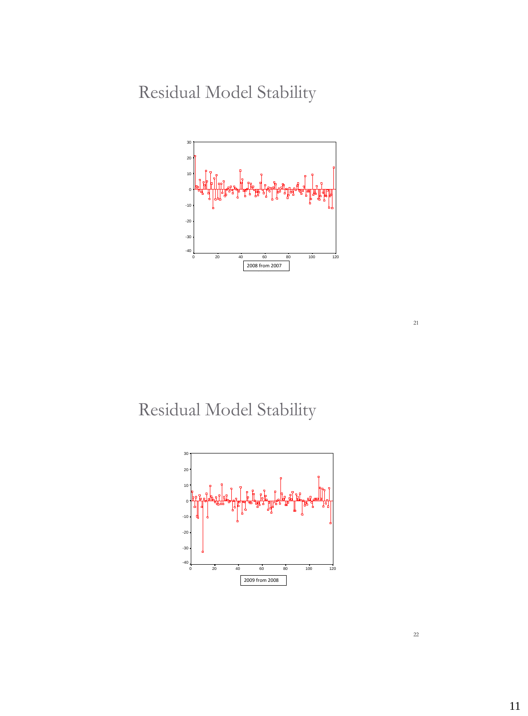Residual Model Stability



Residual Model Stability



22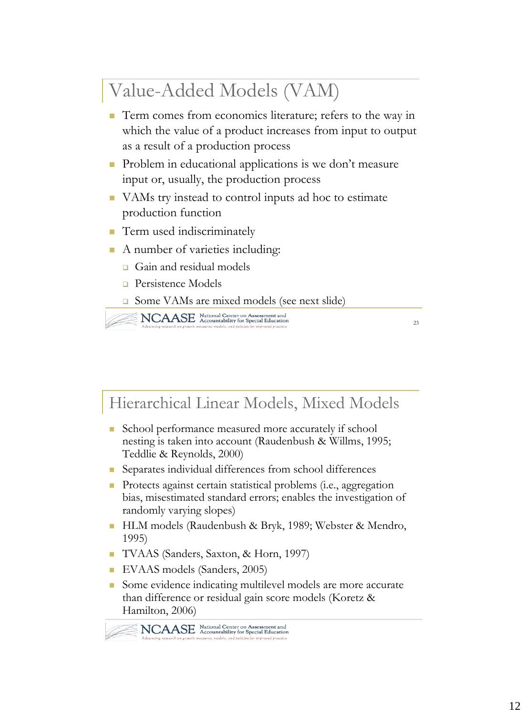# Value-Added Models (VAM)

- Term comes from economics literature; refers to the way in which the value of a product increases from input to output as a result of a production process
- **Problem in educational applications is we don't measure** input or, usually, the production process
- VAMs try instead to control inputs ad hoc to estimate production function
- **Term used indiscriminately**
- A number of varieties including:
	- Gain and residual models
	- **Persistence Models**
	- Some VAMs are mixed models (see next slide)

NCAASE National Center on Assessment and<br>Advancing research on growth measures, models, and policies for improved practice

 $23$ 

#### Hierarchical Linear Models, Mixed Models

- School performance measured more accurately if school nesting is taken into account (Raudenbush & Willms, 1995; Teddlie & Reynolds, 2000)
- Separates individual differences from school differences
- **Protects against certain statistical problems (i.e., aggregation** bias, misestimated standard errors; enables the investigation of randomly varying slopes)
- HLM models (Raudenbush & Bryk, 1989; Webster & Mendro, 1995)
- TVAAS (Sanders, Saxton, & Horn, 1997)
- EVAAS models (Sanders, 2005)
- Some evidence indicating multilevel models are more accurate than difference or residual gain score models (Koretz & Hamilton, 2006)

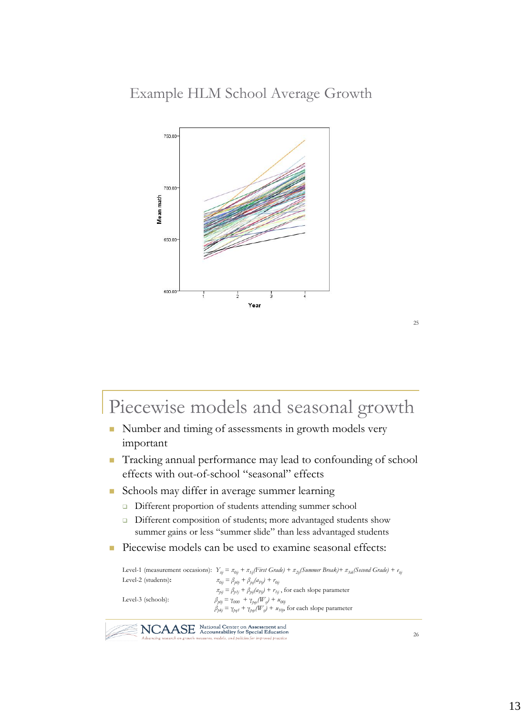

## Piecewise models and seasonal growth

- Number and timing of assessments in growth models very important
- Tracking annual performance may lead to confounding of school effects with out-of-school "seasonal" effects
- Schools may differ in average summer learning
	- Different proportion of students attending summer school
	- □ Different composition of students; more advantaged students show summer gains or less "summer slide" than less advantaged students
- **Piecewise models can be used to examine seasonal effects:**

```
Level-1 (measurement occasions): Ytij = π0ij + π1ij(First Grade) + π2ij(Summer Break)+ π3ik(Second Grade) + e
tij
Level-2 (students): \pi_{0ij} = \beta_{\rho 0j} + \beta_{\rho ij}(a_{Pij}) + r_{0ij}\pi_{pi} = \beta_{pfj} + \beta_{pj}(a_{pj}) + r_{fij}, for each slope parameter
Level-3 (schools): \beta_{\rho 0j} = \gamma_{000} + \gamma_{\rho q s} (W_s) + u_{00j}\hat{\beta}_{pkj} = \gamma_{pq1} + \gamma_{pqr}(\hat{W}_{sj}) + u_{10j} for each slope parameter
```

```
NCAASE National Center on Assessment and
```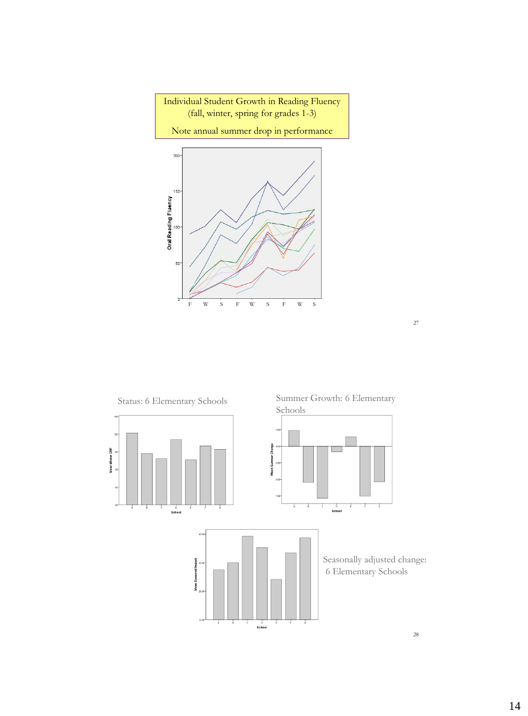



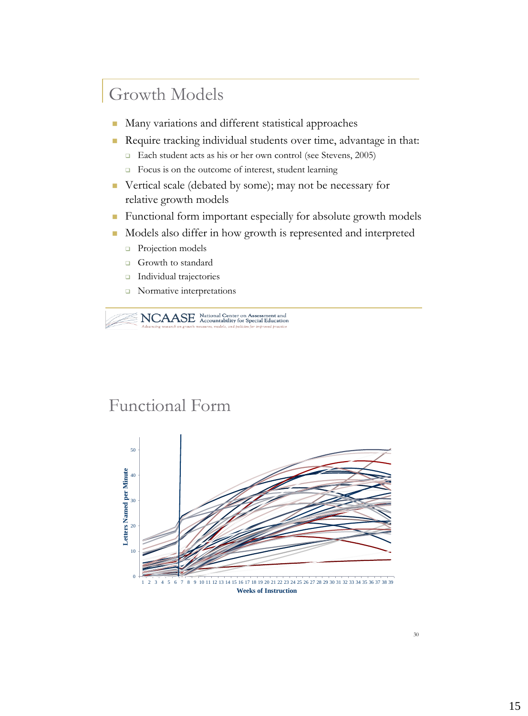### Growth Models

- **Many variations and different statistical approaches**
- Require tracking individual students over time, advantage in that:
	- □ Each student acts as his or her own control (see Stevens, 2005)
	- Focus is on the outcome of interest, student learning
- Vertical scale (debated by some); may not be necessary for relative growth models
- **Functional form important especially for absolute growth models**
- Models also differ in how growth is represented and interpreted
	- **Projection models**
	- Growth to standard
	- **Individual trajectories**
	- Normative interpretations

NCAASE National Center on Assessment and

#### Functional Form

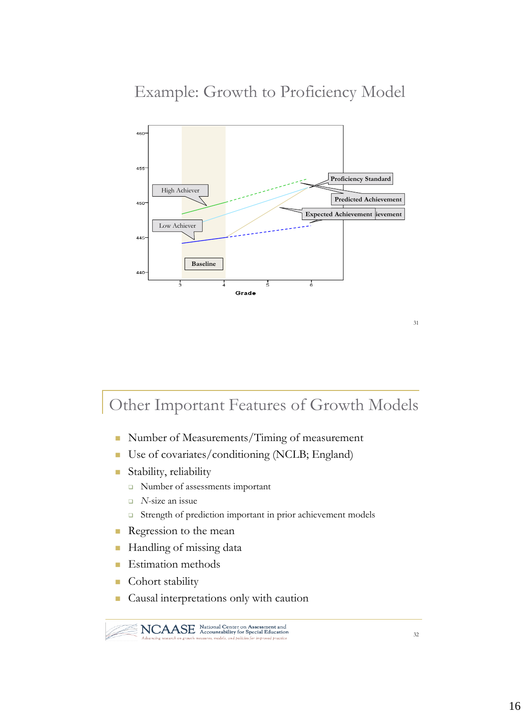#### Example: Growth to Proficiency Model



#### Other Important Features of Growth Models

- Number of Measurements/Timing of measurement
- Use of covariates/conditioning (NCLB; England)
- Stability, reliability
	- Number of assessments important
	- *N*-size an issue
	- Strength of prediction important in prior achievement models
- Regression to the mean
- Handling of missing data
- **Estimation methods**
- **Cohort stability**
- Causal interpretations only with caution

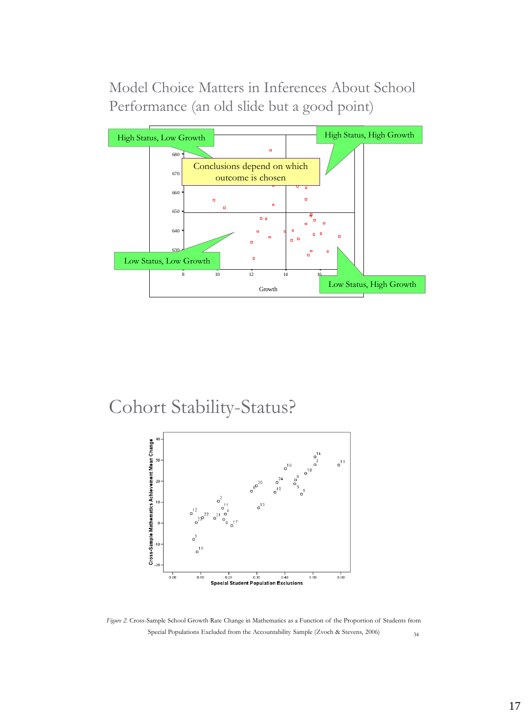Model Choice Matters in Inferences About School Performance (an old slide but a good point)



Cohort Stability-Status?



34 *Figure 2.* Cross-Sample School Growth Rate Change in Mathematics as a Function of the Proportion of Students from Special Populations Excluded from the Accountability Sample (Zvoch & Stevens, 2006)